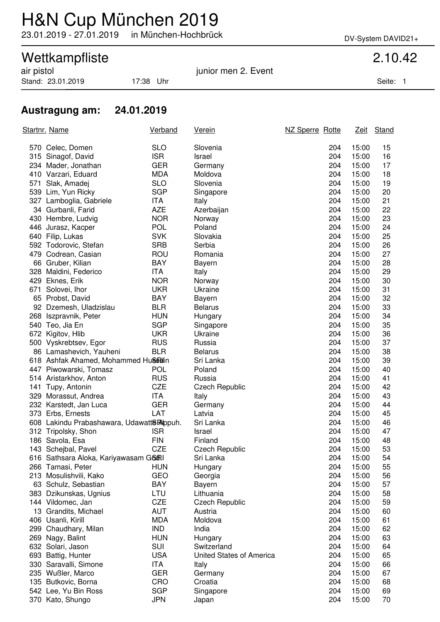# H&N Cup München 2019

23.01.2019 - 27.01.2019 in München-Hochbrück DV-System DAVID21+

## Wettkampfliste 2.10.42

Stand: 23.01.2019 17:38 Uhr Seite: 1

air pistol in the set of the set of the set of the set of the set of the set of the set of the set of the set o

### **Austragung am: 24.01.2019**

| Startnr. Name |                                           | <b>Verband</b> | <u>Verein</u>            | NZ Sperre Rotte |       | Zeit Stand |
|---------------|-------------------------------------------|----------------|--------------------------|-----------------|-------|------------|
|               | 570 Celec, Domen                          | <b>SLO</b>     | Slovenia                 | 204             | 15:00 | 15         |
|               | 315 Sinagof, David                        | <b>ISR</b>     | Israel                   | 204             | 15:00 | 16         |
|               | 234 Mader, Jonathan                       | <b>GER</b>     | Germany                  | 204             | 15:00 | 17         |
|               | 410 Varzari, Eduard                       | <b>MDA</b>     | Moldova                  | 204             | 15:00 | 18         |
|               | 571 Slak, Amadej                          | <b>SLO</b>     | Slovenia                 | 204             | 15:00 | 19         |
|               | 539 Lim, Yun Ricky                        | <b>SGP</b>     | Singapore                | 204             | 15:00 | 20         |
|               | 327 Lamboglia, Gabriele                   | ITA            | Italy                    | 204             | 15:00 | 21         |
|               | 34 Gurbanli, Farid                        | <b>AZE</b>     | Azerbaijan               | 204             | 15:00 | 22         |
|               | 430 Hembre, Ludvig                        | <b>NOR</b>     | Norway                   | 204             | 15:00 | 23         |
|               | 446 Jurasz, Kacper                        | <b>POL</b>     | Poland                   | 204             | 15:00 | 24         |
|               | 640 Filip, Lukas                          | <b>SVK</b>     | Slovakia                 | 204             | 15:00 | 25         |
|               | 592 Todorovic, Stefan                     | <b>SRB</b>     | Serbia                   | 204             | 15:00 | 26         |
|               | 479 Codrean, Casian                       | ROU            | Romania                  | 204             | 15:00 | 27         |
|               | 66 Gruber, Kilian                         | <b>BAY</b>     | <b>Bayern</b>            | 204             | 15:00 | 28         |
|               | 328 Maldini, Federico                     | ITA            | Italy                    | 204             | 15:00 | 29         |
|               | 429 Eknes, Erik                           | <b>NOR</b>     | Norway                   | 204             | 15:00 | 30         |
|               | 671 Solovei, Ihor                         | <b>UKR</b>     | Ukraine                  | 204             | 15:00 | 31         |
|               | 65 Probst, David                          | BAY            | Bayern                   | 204             | 15:00 | 32         |
|               | 92 Dzemesh, Uladzislau                    | <b>BLR</b>     | <b>Belarus</b>           | 204             | 15:00 | 33         |
|               | 268 Iszpravnik, Peter                     | <b>HUN</b>     | Hungary                  | 204             | 15:00 | 34         |
|               | 540 Teo, Jia En                           | <b>SGP</b>     | Singapore                | 204             | 15:00 | 35         |
|               | 672 Kigitov, Hlib                         | <b>UKR</b>     | Ukraine                  | 204             | 15:00 | 36         |
|               | 500 Vyskrebtsev, Egor                     | <b>RUS</b>     | Russia                   | 204             | 15:00 | 37         |
|               | 86 Lamashevich, Yauheni                   | <b>BLR</b>     | <b>Belarus</b>           | 204             | 15:00 | 38         |
|               | 618 Ashfak Ahamed, Mohammed Hussiain      |                | Sri Lanka                | 204             | 15:00 | 39         |
|               | 447 Piwowarski, Tomasz                    | <b>POL</b>     | Poland                   | 204             | 15:00 | 40         |
|               | 514 Aristarkhov, Anton                    | <b>RUS</b>     | Russia                   | 204             | 15:00 | 41         |
|               | 141 Tupy, Antonin                         | <b>CZE</b>     | Czech Republic           | 204             | 15:00 | 42         |
|               | 329 Morassut, Andrea                      | ITA            | Italy                    | 204             | 15:00 | 43         |
|               | 232 Karstedt, Jan Luca                    | <b>GER</b>     | Germany                  | 204             | 15:00 | 44         |
|               | 373 Erbs, Ernests                         | LAT            | Latvia                   | 204             | 15:00 | 45         |
|               | 608 Lakindu Prabashawara, Udawatt8Rappuh. |                | Sri Lanka                | 204             | 15:00 | 46         |
|               | 312 Tripolsky, Shon                       | <b>ISR</b>     | Israel                   | 204             | 15:00 | 47         |
|               | 186 Savola, Esa                           | <b>FIN</b>     | Finland                  | 204             | 15:00 | 48         |
|               | 143 Schejbal, Pavel                       | <b>CZE</b>     | <b>Czech Republic</b>    | 204             | 15:00 | 53         |
|               | 616 Sathsara Aloka, Kariyawasam G66RI     |                | Sri Lanka                | 204             | 15:00 | 54         |
|               | 266 Tamasi, Peter                         | HUN            | Hungary                  | 204             | 15:00 | 55         |
|               | 213 Mosulishvili, Kako                    | <b>GEO</b>     | Georgia                  | 204             | 15:00 | 56         |
|               | 63 Schulz, Sebastian                      | BAY            | Bayern                   | 204             | 15:00 | 57         |
|               | 383 Dzikunskas, Ugnius                    | LTU            | Lithuania                | 204             | 15:00 | 58         |
|               | 144 Vildomec, Jan                         | CZE            | <b>Czech Republic</b>    | 204             | 15:00 | 59         |
|               | 13 Grandits, Michael                      | <b>AUT</b>     | Austria                  | 204             | 15:00 | 60         |
|               | 406 Usanli, Kirill                        | <b>MDA</b>     | Moldova                  | 204             | 15:00 | 61         |
|               | 299 Chaudhary, Milan                      | <b>IND</b>     | India                    | 204             | 15:00 | 62         |
|               | 269 Nagy, Balint                          | <b>HUN</b>     | Hungary                  | 204             | 15:00 | 63         |
|               | 632 Solari, Jason                         | SUI            | Switzerland              | 204             | 15:00 | 64         |
|               | 693 Battig, Hunter                        | <b>USA</b>     | United States of America | 204             | 15:00 | 65         |
|               | 330 Saravalli, Simone                     | ITA            | Italy                    | 204             | 15:00 | 66         |
|               | 235 Wußler, Marco                         | <b>GER</b>     | Germany                  | 204             | 15:00 | 67         |
|               | 135 Butkovic, Borna                       | CRO            | Croatia                  | 204             | 15:00 | 68         |
|               | 542 Lee, Yu Bin Ross                      | <b>SGP</b>     | Singapore                | 204             | 15:00 | 69         |
|               | 370 Kato, Shungo                          | <b>JPN</b>     | Japan                    | 204             | 15:00 | 70         |